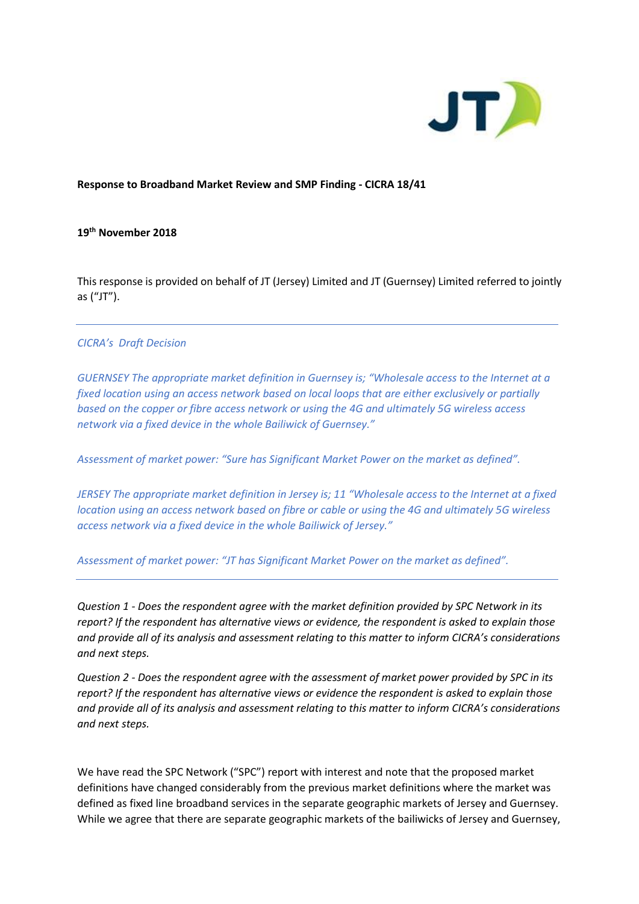

### **Response to Broadband Market Review and SMP Finding - CICRA 18/41**

### **19 th November 2018**

This response is provided on behalf of JT (Jersey) Limited and JT (Guernsey) Limited referred to jointly as ("JT").

#### *CICRA's Draft Decision*

*GUERNSEY The appropriate market definition in Guernsey is; "Wholesale access to the Internet at a fixed location using an access network based on local loops that are either exclusively or partially based on the copper or fibre access network or using the 4G and ultimately 5G wireless access network via a fixed device in the whole Bailiwick of Guernsey."* 

*Assessment of market power: "Sure has Significant Market Power on the market as defined".*

*JERSEY The appropriate market definition in Jersey is; 11 "Wholesale access to the Internet at a fixed location using an access network based on fibre or cable or using the 4G and ultimately 5G wireless access network via a fixed device in the whole Bailiwick of Jersey."* 

*Assessment of market power: "JT has Significant Market Power on the market as defined".*

*Question 1 - Does the respondent agree with the market definition provided by SPC Network in its report? If the respondent has alternative views or evidence, the respondent is asked to explain those and provide all of its analysis and assessment relating to this matter to inform CICRA's considerations and next steps.*

*Question 2 - Does the respondent agree with the assessment of market power provided by SPC in its report? If the respondent has alternative views or evidence the respondent is asked to explain those and provide all of its analysis and assessment relating to this matter to inform CICRA's considerations and next steps.*

We have read the SPC Network ("SPC") report with interest and note that the proposed market definitions have changed considerably from the previous market definitions where the market was defined as fixed line broadband services in the separate geographic markets of Jersey and Guernsey. While we agree that there are separate geographic markets of the bailiwicks of Jersey and Guernsey,